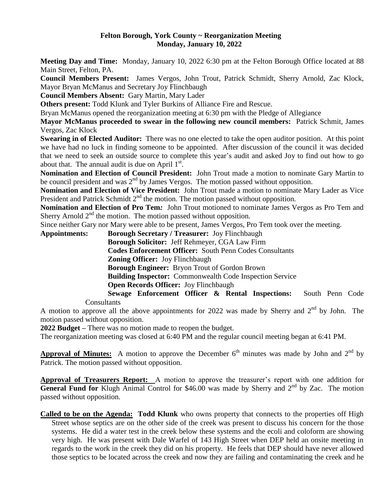#### **Felton Borough, York County ~ Reorganization Meeting Monday, January 10, 2022**

**Meeting Day and Time:** Monday, January 10, 2022 6:30 pm at the Felton Borough Office located at 88 Main Street, Felton, PA.

**Council Members Present:** James Vergos, John Trout, Patrick Schmidt, Sherry Arnold, Zac Klock, Mayor Bryan McManus and Secretary Joy Flinchbaugh

**Council Members Absent:** Gary Martin, Mary Lader

**Others present:** Todd Klunk and Tyler Burkins of Alliance Fire and Rescue.

Bryan McManus opened the reorganization meeting at 6:30 pm with the Pledge of Allegiance

**Mayor McManus proceeded to swear in the following new council members:** Patrick Schmit, James Vergos, Zac Klock

**Swearing in of Elected Auditor:** There was no one elected to take the open auditor position. At this point we have had no luck in finding someone to be appointed. After discussion of the council it was decided that we need to seek an outside source to complete this year's audit and asked Joy to find out how to go about that. The annual audit is due on April  $1<sup>st</sup>$ .

**Nomination and Election of Council President:** John Trout made a motion to nominate Gary Martin to be council president and was 2<sup>nd</sup> by James Vergos. The motion passed without opposition.

**Nomination and Election of Vice President:** John Trout made a motion to nominate Mary Lader as Vice President and Patrick Schmidt 2<sup>nd</sup> the motion. The motion passed without opposition.

**Nomination and Election of Pro Tem***:* John Trout motioned to nominate James Vergos as Pro Tem and Sherry Arnold  $2<sup>nd</sup>$  the motion. The motion passed without opposition.

Since neither Gary nor Mary were able to be present, James Vergos, Pro Tem took over the meeting.

**Appointments: Borough Secretary / Treasurer:** Joy Flinchbaugh **Borough Solicitor:** Jeff Rehmeyer, CGA Law Firm **Codes Enforcement Officer:** South Penn Codes Consultants **Zoning Officer:** Joy Flinchbaugh **Borough Engineer:** Bryon Trout of Gordon Brown **Building Inspector:** Commonwealth Code Inspection Service **Open Records Officer:** Joy Flinchbaugh **Sewage Enforcement Officer & Rental Inspections:** South Penn Code

**Consultants** 

A motion to approve all the above appointments for 2022 was made by Sherry and  $2<sup>nd</sup>$  by John. The motion passed without opposition.

**2022 Budget –** There was no motion made to reopen the budget.

The reorganization meeting was closed at 6:40 PM and the regular council meeting began at 6:41 PM.

**Approval of Minutes:** A motion to approve the December  $6<sup>th</sup>$  minutes was made by John and  $2<sup>nd</sup>$  by Patrick. The motion passed without opposition.

**Approval of Treasurers Report:** A motion to approve the treasurer's report with one addition for **General Fund for** Klugh Animal Control for \$46.00 was made by Sherry and 2<sup>nd</sup> by Zac. The motion passed without opposition.

**Called to be on the Agenda: Todd Klunk** who owns property that connects to the properties off High Street whose septics are on the other side of the creek was present to discuss his concern for the those systems. He did a water test in the creek below these systems and the ecoli and coloform are showing very high. He was present with Dale Warfel of 143 High Street when DEP held an onsite meeting in regards to the work in the creek they did on his property.He feels that DEP should have never allowed those septics to be located across the creek and now they are failing and contaminating the creek and he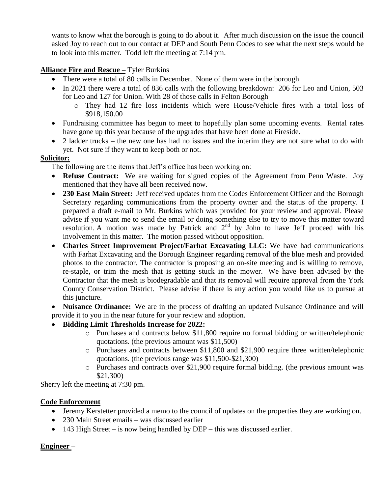wants to know what the borough is going to do about it. After much discussion on the issue the council asked Joy to reach out to our contact at DEP and South Penn Codes to see what the next steps would be to look into this matter. Todd left the meeting at 7:14 pm.

# **Alliance Fire and Rescue –** Tyler Burkins

- There were a total of 80 calls in December. None of them were in the borough
- In 2021 there were a total of 836 calls with the following breakdown: 206 for Leo and Union, 503 for Leo and 127 for Union. With 28 of those calls in Felton Borough
	- o They had 12 fire loss incidents which were House/Vehicle fires with a total loss of \$918,150.00
- Fundraising committee has begun to meet to hopefully plan some upcoming events. Rental rates have gone up this year because of the upgrades that have been done at Fireside.
- 2 ladder trucks the new one has had no issues and the interim they are not sure what to do with yet. Not sure if they want to keep both or not.

### **Solicitor:**

The following are the items that Jeff's office has been working on:

- **Refuse Contract:** We are waiting for signed copies of the Agreement from Penn Waste. Joy mentioned that they have all been received now.
- **230 East Main Street:** Jeff received updates from the Codes Enforcement Officer and the Borough Secretary regarding communications from the property owner and the status of the property. I prepared a draft e-mail to Mr. Burkins which was provided for your review and approval. Please advise if you want me to send the email or doing something else to try to move this matter toward resolution. A motion was made by Patrick and  $2<sup>nd</sup>$  by John to have Jeff proceed with his involvement in this matter. The motion passed without opposition.
- **Charles Street Improvement Project/Farhat Excavating LLC:** We have had communications with Farhat Excavating and the Borough Engineer regarding removal of the blue mesh and provided photos to the contractor. The contractor is proposing an on-site meeting and is willing to remove, re-staple, or trim the mesh that is getting stuck in the mower. We have been advised by the Contractor that the mesh is biodegradable and that its removal will require approval from the York County Conservation District. Please advise if there is any action you would like us to pursue at this juncture.
- **Nuisance Ordinance:** We are in the process of drafting an updated Nuisance Ordinance and will provide it to you in the near future for your review and adoption.

### **Bidding Limit Thresholds Increase for 2022:**

- o Purchases and contracts below \$11,800 require no formal bidding or written/telephonic quotations. (the previous amount was \$11,500)
- o Purchases and contracts between \$11,800 and \$21,900 require three written/telephonic quotations. (the previous range was \$11,500-\$21,300)
- o Purchases and contracts over \$21,900 require formal bidding. (the previous amount was \$21,300)

Sherry left the meeting at 7:30 pm.

### **Code Enforcement**

- Jeremy Kerstetter provided a memo to the council of updates on the properties they are working on.
- 230 Main Street emails was discussed earlier
- $\bullet$  143 High Street is now being handled by DEP this was discussed earlier.

### **Engineer** –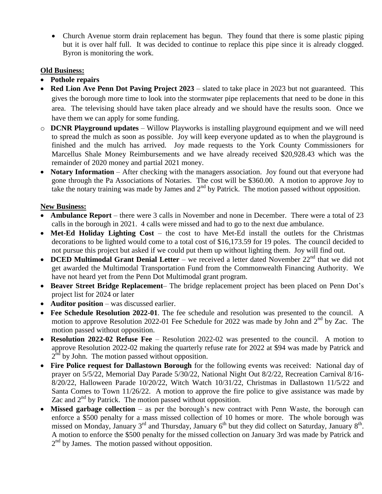• Church Avenue storm drain replacement has begun. They found that there is some plastic piping but it is over half full. It was decided to continue to replace this pipe since it is already clogged. Byron is monitoring the work.

### **Old Business:**

- **Pothole repairs**
- **Red Lion Ave Penn Dot Paving Project 2023** slated to take place in 2023 but not guaranteed. This gives the borough more time to look into the stormwater pipe replacements that need to be done in this area. The televising should have taken place already and we should have the results soon. Once we have them we can apply for some funding.
- o **DCNR Playground updates** Willow Playworks is installing playground equipment and we will need to spread the mulch as soon as possible. Joy will keep everyone updated as to when the playground is finished and the mulch has arrived. Joy made requests to the York County Commissioners for Marcellus Shale Money Reimbursements and we have already received \$20,928.43 which was the remainder of 2020 money and partial 2021 money.
- **Notary Information** After checking with the managers association. Joy found out that everyone had gone through the Pa Associations of Notaries. The cost will be \$360.00. A motion to approve Joy to take the notary training was made by James and  $2<sup>nd</sup>$  by Patrick. The motion passed without opposition.

# **New Business:**

- **Ambulance Report** there were 3 calls in November and none in December. There were a total of 23 calls in the borough in 2021. 4 calls were missed and had to go to the next due ambulance.
- **Met-Ed Holiday Lighting Cost** the cost to have Met-Ed install the outlets for the Christmas decorations to be lighted would come to a total cost of \$16,173.59 for 19 poles. The council decided to not pursue this project but asked if we could put them up without lighting them. Joy will find out.
- **DCED Multimodal Grant Denial Letter** we received a letter dated November 22<sup>nd</sup> that we did not get awarded the Multimodal Transportation Fund from the Commonwealth Financing Authority. We have not heard yet from the Penn Dot Multimodal grant program.
- **Beaver Street Bridge Replacement** The bridge replacement project has been placed on Penn Dot's project list for 2024 or later
- **Auditor position** was discussed earlier.
- **Fee Schedule Resolution 2022-01**. The fee schedule and resolution was presented to the council. A motion to approve Resolution 2022-01 Fee Schedule for 2022 was made by John and 2<sup>nd</sup> by Zac. The motion passed without opposition.
- **Resolution 2022-02 Refuse Fee** Resolution 2022-02 was presented to the council. A motion to approve Resolution 2022-02 making the quarterly refuse rate for 2022 at \$94 was made by Patrick and  $2<sup>nd</sup>$  by John. The motion passed without opposition.
- **Fire Police request for Dallastown Borough** for the following events was received: National day of prayer on 5/5/22, Memorial Day Parade 5/30/22, National Night Out 8/2/22, Recreation Carnival 8/16- 8/20/22, Halloween Parade 10/20/22, Witch Watch 10/31/22, Christmas in Dallastown 11/5/22 and Santa Comes to Town 11/26/22. A motion to approve the fire police to give assistance was made by Zac and  $2<sup>nd</sup>$  by Patrick. The motion passed without opposition.
- **Missed garbage collection** as per the borough's new contract with Penn Waste, the borough can enforce a \$500 penalty for a mass missed collection of 10 homes or more. The whole borough was missed on Monday, January  $3^{rd}$  and Thursday, January  $6^{th}$  but they did collect on Saturday, January  $8^{th}$ . A motion to enforce the \$500 penalty for the missed collection on January 3rd was made by Patrick and 2<sup>nd</sup> by James. The motion passed without opposition.